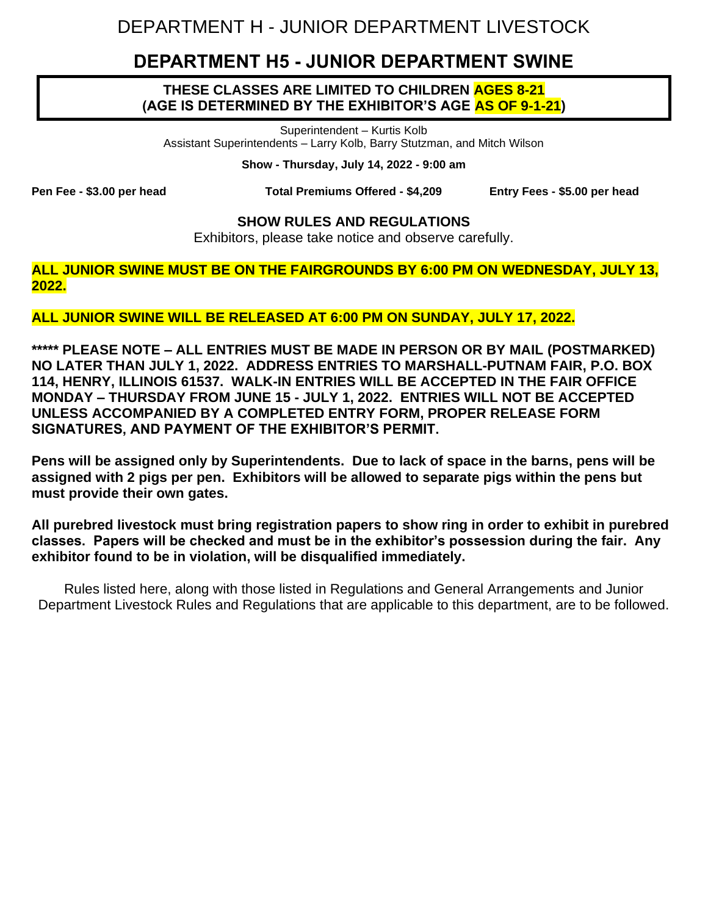# DEPARTMENT H - JUNIOR DEPARTMENT LIVESTOCK

## **DEPARTMENT H5 - JUNIOR DEPARTMENT SWINE**

#### **THESE CLASSES ARE LIMITED TO CHILDREN AGES 8-21 (AGE IS DETERMINED BY THE EXHIBITOR'S AGE AS OF 9-1-21)**

Superintendent – Kurtis Kolb Assistant Superintendents – Larry Kolb, Barry Stutzman, and Mitch Wilson

**Show - Thursday, July 14, 2022 - 9:00 am**

**Pen Fee - \$3.00 per head Total Premiums Offered - \$4,209 Entry Fees - \$5.00 per head**

#### **SHOW RULES AND REGULATIONS**

Exhibitors, please take notice and observe carefully.

**ALL JUNIOR SWINE MUST BE ON THE FAIRGROUNDS BY 6:00 PM ON WEDNESDAY, JULY 13, 2022.**

#### **ALL JUNIOR SWINE WILL BE RELEASED AT 6:00 PM ON SUNDAY, JULY 17, 2022.**

**\*\*\*\*\* PLEASE NOTE – ALL ENTRIES MUST BE MADE IN PERSON OR BY MAIL (POSTMARKED) NO LATER THAN JULY 1, 2022. ADDRESS ENTRIES TO MARSHALL-PUTNAM FAIR, P.O. BOX 114, HENRY, ILLINOIS 61537. WALK-IN ENTRIES WILL BE ACCEPTED IN THE FAIR OFFICE MONDAY – THURSDAY FROM JUNE 15 - JULY 1, 2022. ENTRIES WILL NOT BE ACCEPTED UNLESS ACCOMPANIED BY A COMPLETED ENTRY FORM, PROPER RELEASE FORM SIGNATURES, AND PAYMENT OF THE EXHIBITOR'S PERMIT.**

**Pens will be assigned only by Superintendents. Due to lack of space in the barns, pens will be assigned with 2 pigs per pen. Exhibitors will be allowed to separate pigs within the pens but must provide their own gates.**

**All purebred livestock must bring registration papers to show ring in order to exhibit in purebred classes. Papers will be checked and must be in the exhibitor's possession during the fair. Any exhibitor found to be in violation, will be disqualified immediately.** 

Rules listed here, along with those listed in Regulations and General Arrangements and Junior Department Livestock Rules and Regulations that are applicable to this department, are to be followed.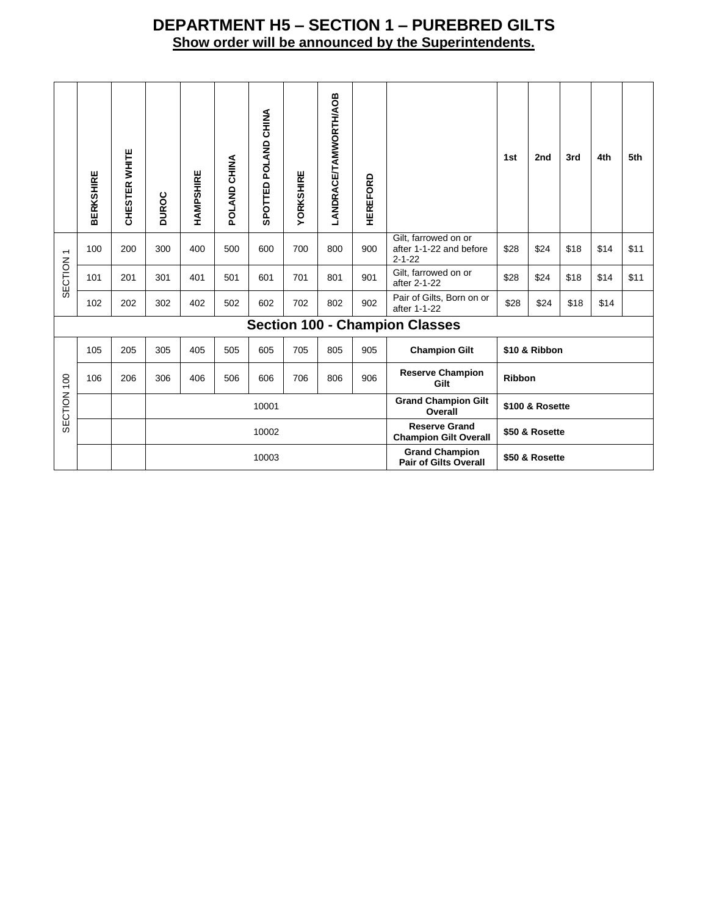### **DEPARTMENT H5 – SECTION 1 – PUREBRED GILTS Show order will be announced by the Superintendents.**

|                                     | <b>BERKSHIRE</b>                      | CHESTER WHITE | DUROC | HAMPSHIRE | POLAND CHINA | SPOTTED POLAND CHINA | YORKSHIRE | <b>ANDRACE/TAMWORTH/AOB</b> | <b>HEREFORD</b> |                                                                 | 1st             | 2nd            | 3rd  | 4th  | 5th  |
|-------------------------------------|---------------------------------------|---------------|-------|-----------|--------------|----------------------|-----------|-----------------------------|-----------------|-----------------------------------------------------------------|-----------------|----------------|------|------|------|
| $\overline{\phantom{0}}$<br>SECTION | 100                                   | 200           | 300   | 400       | 500          | 600                  | 700       | 800                         | 900             | Gilt, farrowed on or<br>after 1-1-22 and before<br>$2 - 1 - 22$ | \$28            | \$24           | \$18 | \$14 | \$11 |
|                                     | 101                                   | 201           | 301   | 401       | 501          | 601                  | 701       | 801                         | 901             | Gilt, farrowed on or<br>after 2-1-22                            | \$28            | \$24           | \$18 | \$14 | \$11 |
|                                     | 102                                   | 202           | 302   | 402       | 502          | 602                  | 702       | 802                         | 902             | Pair of Gilts, Born on or<br>after 1-1-22                       | \$28            | \$24           | \$18 | \$14 |      |
|                                     | <b>Section 100 - Champion Classes</b> |               |       |           |              |                      |           |                             |                 |                                                                 |                 |                |      |      |      |
|                                     | 105                                   | 205           | 305   | 405       | 505          | 605                  | 705       | 805                         | 905             | <b>Champion Gilt</b>                                            | \$10 & Ribbon   |                |      |      |      |
| SECTION 100                         | 106                                   | 206           | 306   | 406       | 506          | 606                  | 706       | 806                         | 906             | <b>Reserve Champion</b><br>Gilt                                 | <b>Ribbon</b>   |                |      |      |      |
|                                     |                                       |               |       | 10001     |              |                      |           |                             |                 | <b>Grand Champion Gilt</b><br>Overall                           | \$100 & Rosette |                |      |      |      |
|                                     |                                       |               |       | 10002     |              |                      |           |                             |                 | <b>Reserve Grand</b><br><b>Champion Gilt Overall</b>            | \$50 & Rosette  |                |      |      |      |
|                                     |                                       |               |       | 10003     |              |                      |           |                             |                 | <b>Grand Champion</b><br><b>Pair of Gilts Overall</b>           |                 | \$50 & Rosette |      |      |      |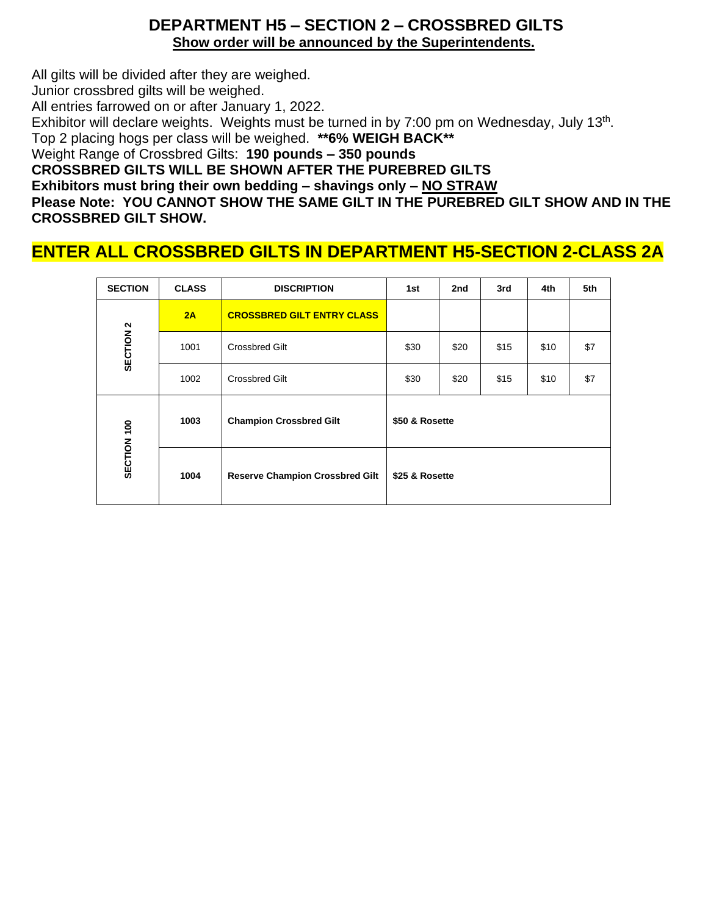#### **DEPARTMENT H5 – SECTION 2 – CROSSBRED GILTS Show order will be announced by the Superintendents.**

All gilts will be divided after they are weighed. Junior crossbred gilts will be weighed. All entries farrowed on or after January 1, 2022. Exhibitor will declare weights. Weights must be turned in by 7:00 pm on Wednesday, July 13<sup>th</sup>. Top 2 placing hogs per class will be weighed. **\*\*6% WEIGH BACK\*\*** Weight Range of Crossbred Gilts: **190 pounds – 350 pounds CROSSBRED GILTS WILL BE SHOWN AFTER THE PUREBRED GILTS Exhibitors must bring their own bedding – shavings only – NO STRAW Please Note: YOU CANNOT SHOW THE SAME GILT IN THE PUREBRED GILT SHOW AND IN THE CROSSBRED GILT SHOW.** 

## **ENTER ALL CROSSBRED GILTS IN DEPARTMENT H5-SECTION 2-CLASS 2A**

| <b>SECTION</b>       | <b>CLASS</b> | <b>DISCRIPTION</b>                     | 1st            | 2nd  | 3rd  | 4th  | 5th |
|----------------------|--------------|----------------------------------------|----------------|------|------|------|-----|
|                      | 2A           | <b>CROSSBRED GILT ENTRY CLASS</b>      |                |      |      |      |     |
| SECTION <sub>2</sub> | 1001         | <b>Crossbred Gilt</b>                  | \$30           | \$20 | \$15 | \$10 | \$7 |
|                      | 1002         | <b>Crossbred Gilt</b>                  | \$30           | \$20 | \$15 | \$10 | \$7 |
|                      | 1003         | <b>Champion Crossbred Gilt</b>         | \$50 & Rosette |      |      |      |     |
| SECTION 100          | 1004         | <b>Reserve Champion Crossbred Gilt</b> | \$25 & Rosette |      |      |      |     |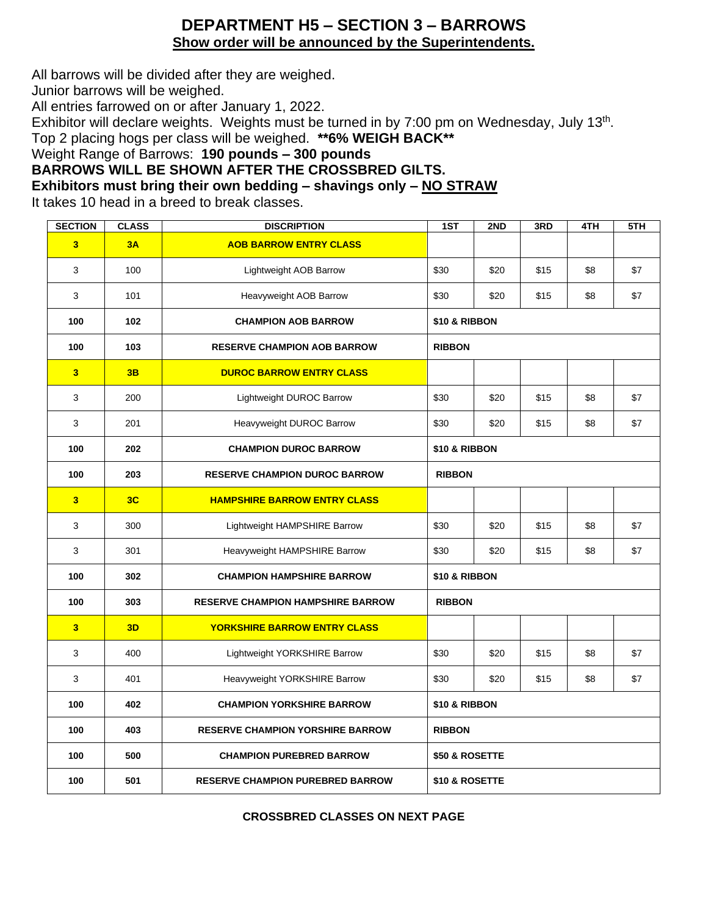#### **DEPARTMENT H5 – SECTION 3 – BARROWS Show order will be announced by the Superintendents.**

All barrows will be divided after they are weighed.

Junior barrows will be weighed.

All entries farrowed on or after January 1, 2022.

Exhibitor will declare weights. Weights must be turned in by 7:00 pm on Wednesday, July 13<sup>th</sup>.

Top 2 placing hogs per class will be weighed. **\*\*6% WEIGH BACK\*\***

Weight Range of Barrows: **190 pounds – 300 pounds**

**BARROWS WILL BE SHOWN AFTER THE CROSSBRED GILTS.**

**Exhibitors must bring their own bedding – shavings only – NO STRAW**

It takes 10 head in a breed to break classes.

| <b>SECTION</b>          | <b>CLASS</b>                           | <b>DISCRIPTION</b>                       | 1ST            | 2ND  | 3RD  | 4TH | 5TH |
|-------------------------|----------------------------------------|------------------------------------------|----------------|------|------|-----|-----|
| 3 <sup>1</sup>          | 3A                                     | <b>AOB BARROW ENTRY CLASS</b>            |                |      |      |     |     |
| 3                       | 100                                    | Lightweight AOB Barrow                   |                | \$20 | \$15 | \$8 | \$7 |
| 3                       | 101                                    | Heavyweight AOB Barrow                   |                | \$20 | \$15 | \$8 | \$7 |
| 100                     | 102                                    | <b>CHAMPION AOB BARROW</b>               | \$10 & RIBBON  |      |      |     |     |
| 100                     | 103                                    | <b>RESERVE CHAMPION AOB BARROW</b>       | <b>RIBBON</b>  |      |      |     |     |
| $\overline{\mathbf{3}}$ | 3B                                     | <b>DUROC BARROW ENTRY CLASS</b>          |                |      |      |     |     |
| 3                       | 200                                    | Lightweight DUROC Barrow                 |                | \$20 | \$15 | \$8 | \$7 |
| 3                       | 201                                    | Heavyweight DUROC Barrow                 | \$30           | \$20 | \$15 | \$8 | \$7 |
| 100                     | 202                                    | <b>CHAMPION DUROC BARROW</b>             | \$10 & RIBBON  |      |      |     |     |
| 100                     | 203                                    | <b>RESERVE CHAMPION DUROC BARROW</b>     | <b>RIBBON</b>  |      |      |     |     |
| 3 <sup>1</sup>          | 3C                                     | <b>HAMPSHIRE BARROW ENTRY CLASS</b>      |                |      |      |     |     |
| 3                       | 300                                    | Lightweight HAMPSHIRE Barrow             | \$30           | \$20 | \$15 | \$8 | \$7 |
| 3                       | 301                                    | Heavyweight HAMPSHIRE Barrow             | \$30           | \$20 | \$15 | \$8 | \$7 |
| 100                     | 302                                    | <b>CHAMPION HAMPSHIRE BARROW</b>         | \$10 & RIBBON  |      |      |     |     |
| 100                     | 303                                    | <b>RESERVE CHAMPION HAMPSHIRE BARROW</b> | <b>RIBBON</b>  |      |      |     |     |
| 3 <sup>1</sup>          | 3D                                     | <b>YORKSHIRE BARROW ENTRY CLASS</b>      |                |      |      |     |     |
| 3                       | 400                                    | Lightweight YORKSHIRE Barrow             | \$30           | \$20 | \$15 | \$8 | \$7 |
| 3                       | 401                                    | Heavyweight YORKSHIRE Barrow             | \$30           | \$20 | \$15 | \$8 | \$7 |
| 100                     | 402                                    | <b>CHAMPION YORKSHIRE BARROW</b>         | \$10 & RIBBON  |      |      |     |     |
| 100                     | 403                                    | <b>RESERVE CHAMPION YORSHIRE BARROW</b>  | <b>RIBBON</b>  |      |      |     |     |
| 100                     | 500<br><b>CHAMPION PUREBRED BARROW</b> |                                          | \$50 & ROSETTE |      |      |     |     |
| 100                     | 501                                    | <b>RESERVE CHAMPION PUREBRED BARROW</b>  | \$10 & ROSETTE |      |      |     |     |

#### **CROSSBRED CLASSES ON NEXT PAGE**